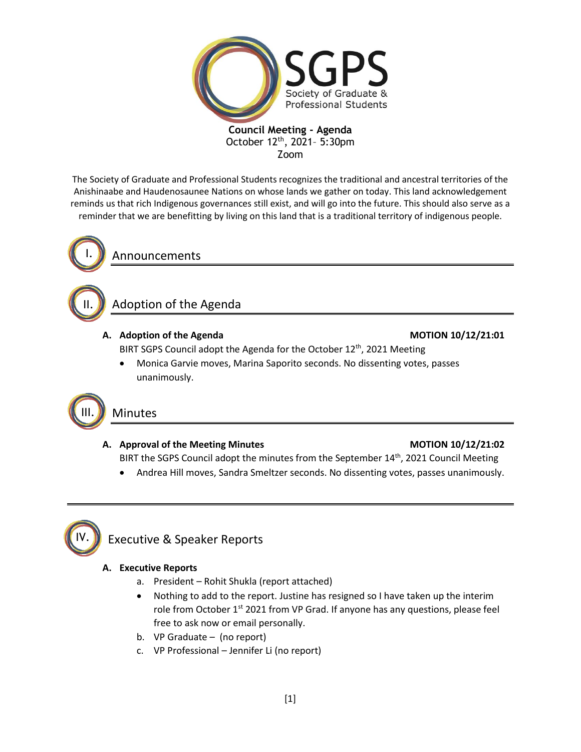

The Society of Graduate and Professional Students recognizes the traditional and ancestral territories of the Anishinaabe and Haudenosaunee Nations on whose lands we gather on today. This land acknowledgement reminds us that rich Indigenous governances still exist, and will go into the future. This should also serve as a reminder that we are benefitting by living on this land that is a traditional territory of indigenous people.



II.

Announcements

# Adoption of the Agenda

## **A. Adoption of the Agenda MOTION 10/12/21:01**

BIRT SGPS Council adopt the Agenda for the October 12<sup>th</sup>, 2021 Meeting

• Monica Garvie moves, Marina Saporito seconds. No dissenting votes, passes unanimously.



## A. Approval of the Meeting Minutes **MOTION 10/12/21:02**

BIRT the SGPS Council adopt the minutes from the September 14<sup>th</sup>, 2021 Council Meeting

• Andrea Hill moves, Sandra Smeltzer seconds. No dissenting votes, passes unanimously.



# Executive & Speaker Reports

## **A. Executive Reports**

- a. President Rohit Shukla (report attached)
- Nothing to add to the report. Justine has resigned so I have taken up the interim role from October 1<sup>st</sup> 2021 from VP Grad. If anyone has any questions, please feel free to ask now or email personally.
- b. VP Graduate (no report)
- c. VP Professional Jennifer Li (no report)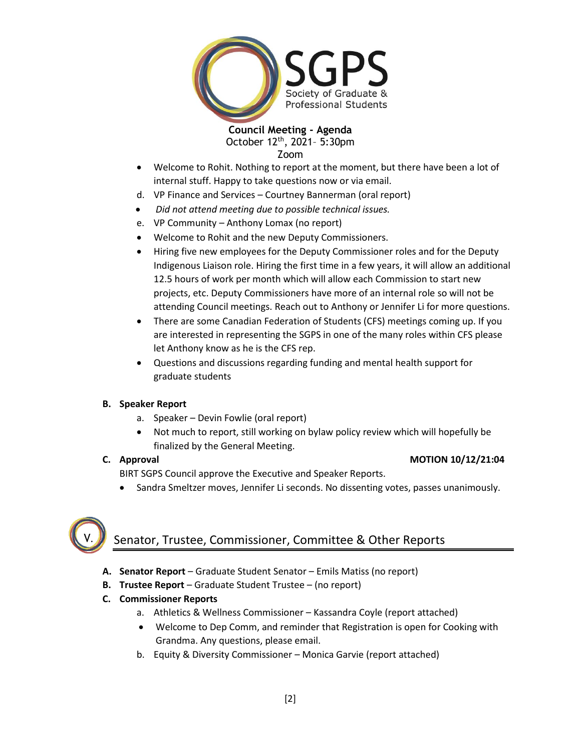

- Welcome to Rohit. Nothing to report at the moment, but there have been a lot of internal stuff. Happy to take questions now or via email.
- d. VP Finance and Services Courtney Bannerman (oral report)
- *Did not attend meeting due to possible technical issues.*
- e. VP Community Anthony Lomax (no report)
- Welcome to Rohit and the new Deputy Commissioners.
- Hiring five new employees for the Deputy Commissioner roles and for the Deputy Indigenous Liaison role. Hiring the first time in a few years, it will allow an additional 12.5 hours of work per month which will allow each Commission to start new projects, etc. Deputy Commissioners have more of an internal role so will not be attending Council meetings. Reach out to Anthony or Jennifer Li for more questions.
- There are some Canadian Federation of Students (CFS) meetings coming up. If you are interested in representing the SGPS in one of the many roles within CFS please let Anthony know as he is the CFS rep.
- Questions and discussions regarding funding and mental health support for graduate students

## **B. Speaker Report**

- a. Speaker Devin Fowlie (oral report)
- Not much to report, still working on bylaw policy review which will hopefully be finalized by the General Meeting.

## **C. Approval MOTION 10/12/21:04**

BIRT SGPS Council approve the Executive and Speaker Reports.

• Sandra Smeltzer moves, Jennifer Li seconds. No dissenting votes, passes unanimously.



# Senator, Trustee, Commissioner, Committee & Other Reports

- **A. Senator Report** Graduate Student Senator Emils Matiss (no report)
- **B. Trustee Report** Graduate Student Trustee (no report)
- **C. Commissioner Reports**
	- a. Athletics & Wellness Commissioner Kassandra Coyle (report attached)
	- Welcome to Dep Comm, and reminder that Registration is open for Cooking with Grandma. Any questions, please email.
	- b. Equity & Diversity Commissioner Monica Garvie (report attached)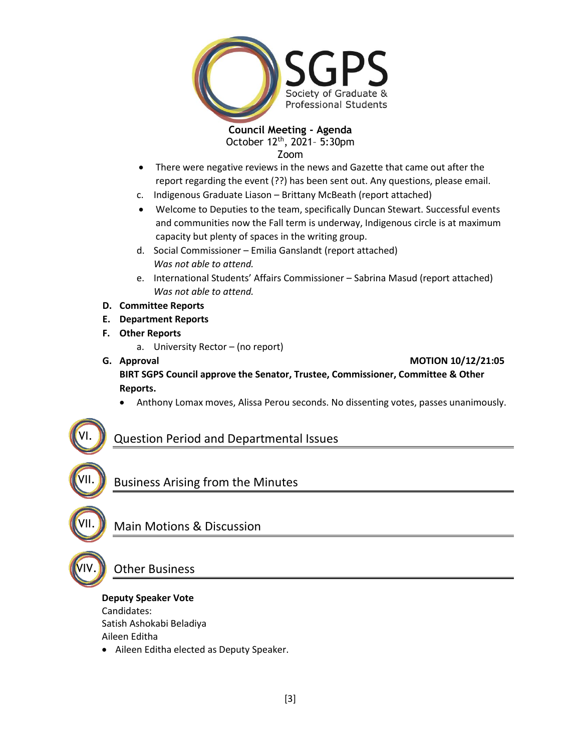

- There were negative reviews in the news and Gazette that came out after the report regarding the event (??) has been sent out. Any questions, please email.
- c. Indigenous Graduate Liason Brittany McBeath (report attached)
- Welcome to Deputies to the team, specifically Duncan Stewart. Successful events and communities now the Fall term is underway, Indigenous circle is at maximum capacity but plenty of spaces in the writing group.
- d. Social Commissioner Emilia Ganslandt (report attached) *Was not able to attend.*
- e. International Students' Affairs Commissioner Sabrina Masud (report attached) *Was not able to attend.*
- **D. Committee Reports**
- **E. Department Reports**
- **F. Other Reports**
	- a. University Rector (no report)
- **G. Approval MOTION 10/12/21:05 BIRT SGPS Council approve the Senator, Trustee, Commissioner, Committee & Other Reports.**
	- Anthony Lomax moves, Alissa Perou seconds. No dissenting votes, passes unanimously.

## Question Period and Departmental Issues

Business Arising from the Minutes

VII.

VIV.

VII.

VI.

Main Motions & Discussion

# Other Business

**Deputy Speaker Vote**

Candidates:

Satish Ashokabi Beladiya

Aileen Editha

• Aileen Editha elected as Deputy Speaker.